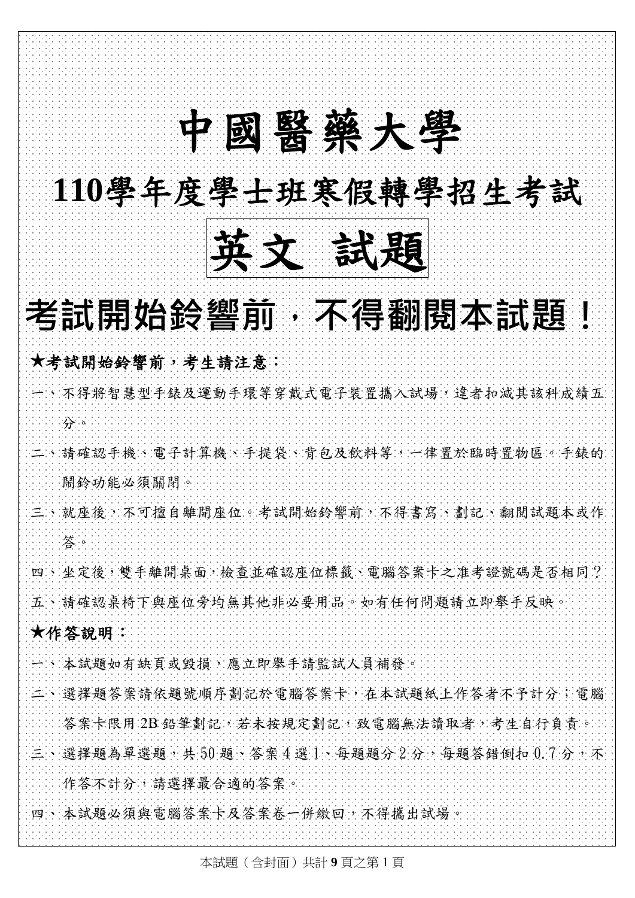# 英文 試題 中國醫藥大學 **110**學年度學士班寒假轉學招生考試 英文 試題 考試開始鈴響前,不得翻閱本試題! **★**考試開始鈴響前,考生請注意: 一、不得將智慧型手錶及運動手環等穿戴式電子裝置攜入試場,違者扣減其該科成績五 分。 二、請確認手機、電子計算機、手提袋、背包及飲料等,一律置於臨時置物區。手錶的 鬧鈴功能必須關閉。 三、就座後,不可擅自離開座位。考試開始鈴響前,不得書寫、劃記、翻閱試題本或作 答。 四、坐定後,雙手離開桌面,檢查並確認座位標籤、電腦答案卡之准考證號碼是否相同? 五、請確認桌椅下與座位旁均無其他非必要用品。如有任何問題請立即舉手反映。 **★**作答說明: 一、本試題如有缺頁或毀損,應立即舉手請監試人員補發。 二、選擇題答案請依題號順序劃記於電腦答案卡,在本試題紙上作答者不予計分;電腦 答案卡限用 2B 鉛筆劃記,若未按規定劃記,致電腦無法讀取者,考生自行負責。 三、選擇題為單選題,共50題、答案4選1、每題題分2分,每題答錯倒扣 0.7分,不 作答不計分,請選擇最合適的答案。 四、本試題必須與電腦答案卡及答案卷一併繳回,不得攜出試場。

中國醫藥大學 110 學年度學士班寒假轉學考試

本試題(含封面)共計 **9** 頁之第 1 頁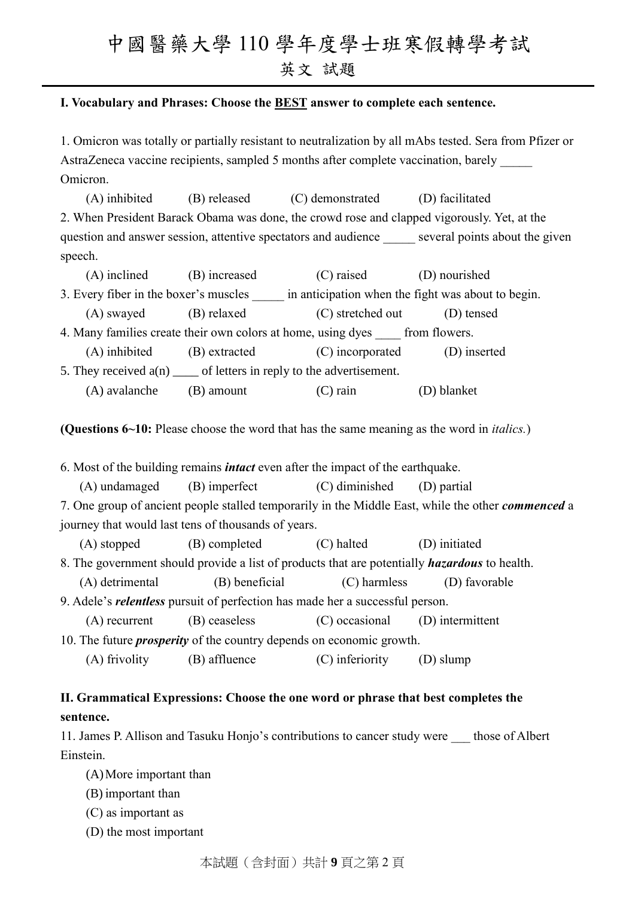#### **I. Vocabulary and Phrases: Choose the BEST answer to complete each sentence.**

1. Omicron was totally or partially resistant to neutralization by all mAbs tested. Sera from Pfizer or AstraZeneca vaccine recipients, sampled 5 months after complete vaccination, barely Omicron.

(A) inhibited (B) released (C) demonstrated (D) facilitated 2. When President Barack Obama was done, the crowd rose and clapped vigorously. Yet, at the question and answer session, attentive spectators and audience several points about the given speech.

(A) inclined (B) increased (C) raised (D) nourished 3. Every fiber in the boxer's muscles in anticipation when the fight was about to begin. (A) swayed (B) relaxed (C) stretched out (D) tensed 4. Many families create their own colors at home, using dyes from flowers. (A) inhibited (B) extracted (C) incorporated (D) inserted 5. They received  $a(n)$  \_\_\_\_ of letters in reply to the advertisement.

(A) avalanche (B) amount (C) rain (D) blanket

**(Questions 6~10:** Please choose the word that has the same meaning as the word in *italics.*)

6. Most of the building remains *intact* even after the impact of the earthquake.

(A) undamaged (B) imperfect (C) diminished (D) partial

7. One group of ancient people stalled temporarily in the Middle East, while the other *commenced* a journey that would last tens of thousands of years.

(A) stopped (B) completed (C) halted (D) initiated

8. The government should provide a list of products that are potentially *hazardous* to health.

(A) detrimental (B) beneficial (C) harmless (D) favorable

9. Adele's *relentless* pursuit of perfection has made her a successful person.

(A) recurrent (B) ceaseless (C) occasional (D) intermittent

10. The future *prosperity* of the country depends on economic growth.

(A) frivolity (B) affluence (C) inferiority (D) slump

### **II. Grammatical Expressions: Choose the one word or phrase that best completes the sentence.**

11. James P. Allison and Tasuku Honjo's contributions to cancer study were \_\_\_ those of Albert Einstein.

(A)More important than

(B) important than

(C) as important as

(D) the most important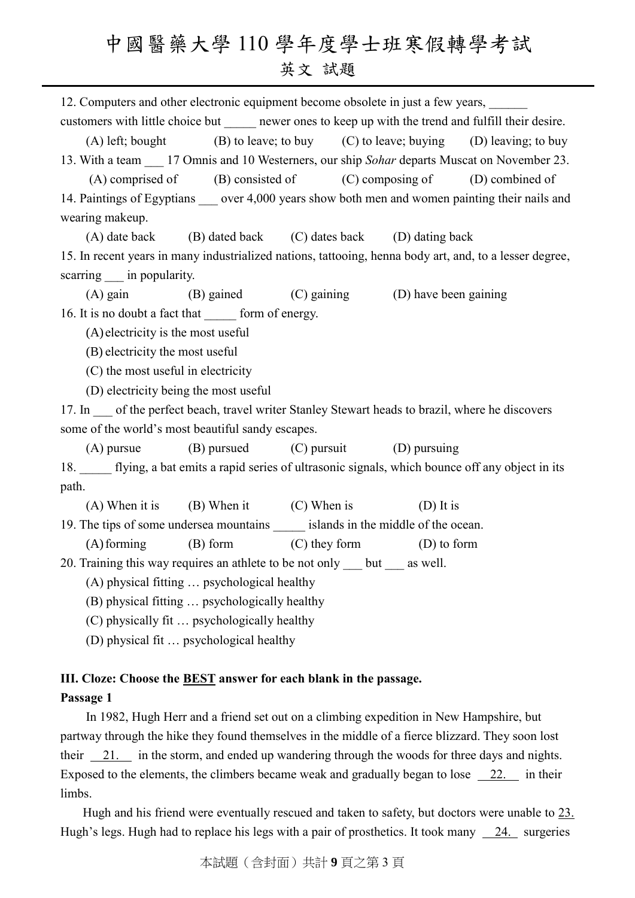12. Computers and other electronic equipment become obsolete in just a few years, customers with little choice but newer ones to keep up with the trend and fulfill their desire.

(A) left; bought (B) to leave; to buy (C) to leave; buying (D) leaving; to buy 13. With a team \_\_\_ 17 Omnis and 10 Westerners, our ship *Sohar* departs Muscat on November 23.

 $(A)$  comprised of  $(B)$  consisted of  $(C)$  composing of  $(D)$  combined of 14. Paintings of Egyptians over 4,000 years show both men and women painting their nails and wearing makeup.

(A) date back (B) dated back (C) dates back (D) dating back 15. In recent years in many industrialized nations, tattooing, henna body art, and, to a lesser degree, scarring in popularity.

(A) gain (B) gained (C) gaining (D) have been gaining 16. It is no doubt a fact that form of energy.

(A) electricity is the most useful

- (B) electricity the most useful
- (C) the most useful in electricity
- (D) electricity being the most useful

17. In of the perfect beach, travel writer Stanley Stewart heads to brazil, where he discovers some of the world's most beautiful sandy escapes.

(A) pursue (B) pursued (C) pursuit (D) pursuing 18. flying, a bat emits a rapid series of ultrasonic signals, which bounce off any object in its path.

(A) When it is (B) When it (C) When is (D) It is

19. The tips of some undersea mountains islands in the middle of the ocean.

(A)forming (B) form (C) they form (D) to form

20. Training this way requires an athlete to be not only but as well.

(A) physical fitting … psychological healthy

(B) physical fitting … psychologically healthy

(C) physically fit … psychologically healthy

(D) physical fit … psychological healthy

### **III. Cloze: Choose the BEST answer for each blank in the passage.**

#### **Passage 1**

In 1982, Hugh Herr and a friend set out on a climbing expedition in New Hampshire, but partway through the hike they found themselves in the middle of a fierce blizzard. They soon lost their 21. in the storm, and ended up wandering through the woods for three days and nights. Exposed to the elements, the climbers became weak and gradually began to lose 22. in their limbs.

Hugh and his friend were eventually rescued and taken to safety, but doctors were unable to 23. Hugh's legs. Hugh had to replace his legs with a pair of prosthetics. It took many  $\_\,$  24. surgeries

本試題(含封面)共計 **9** 頁之第 3 頁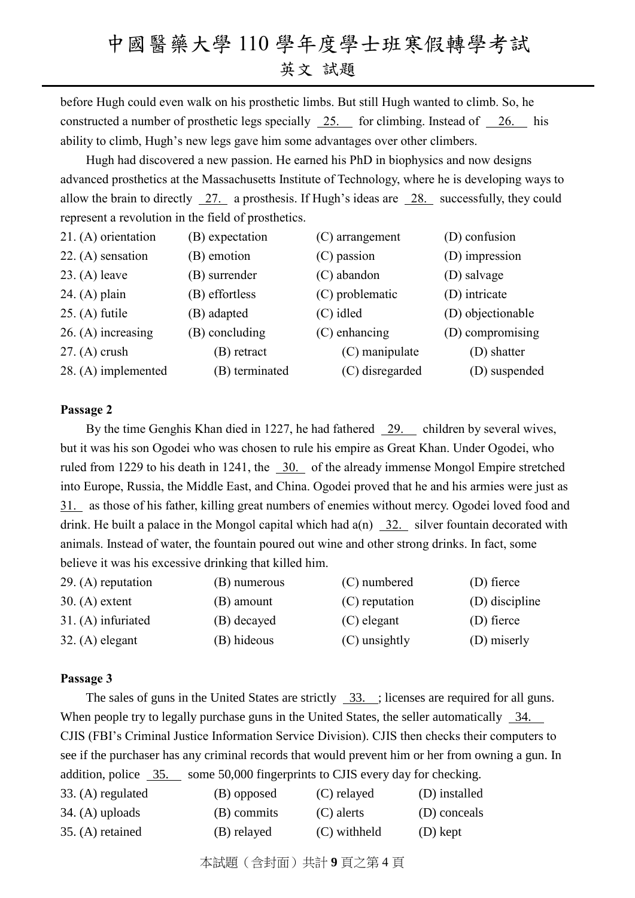before Hugh could even walk on his prosthetic limbs. But still Hugh wanted to climb. So, he constructed a number of prosthetic legs specially 25. for climbing. Instead of 26. his ability to climb, Hugh's new legs gave him some advantages over other climbers.

Hugh had discovered a new passion. He earned his PhD in biophysics and now designs advanced prosthetics at the Massachusetts Institute of Technology, where he is developing ways to allow the brain to directly 27. a prosthesis. If Hugh's ideas are 28. successfully, they could represent a revolution in the field of prosthetics.

| 21. (A) orientation  | (B) expectation | $(C)$ arrangement | (D) confusion     |
|----------------------|-----------------|-------------------|-------------------|
| $22. (A)$ sensation  | (B) emotion     | (C) passion       | (D) impression    |
| $23. (A)$ leave      | (B) surrender   | (C) abandon       | (D) salvage       |
| $24. (A)$ plain      | (B) effortless  | (C) problematic   | (D) intricate     |
| $25. (A)$ futile     | (B) adapted     | (C) idled         | (D) objectionable |
| $26. (A)$ increasing | (B) concluding  | $(C)$ enhancing   | (D) compromising  |
| $27. (A)$ crush      | (B) retract     | $(C)$ manipulate  | (D) shatter       |
| 28. (A) implemented  | (B) terminated  | (C) disregarded   | (D) suspended     |

#### **Passage 2**

By the time Genghis Khan died in 1227, he had fathered 29. children by several wives, but it was his son Ogodei who was chosen to rule his empire as Great Khan. Under Ogodei, who ruled from 1229 to his death in 1241, the  $\overline{30}$ . of the already immense Mongol Empire stretched into Europe, Russia, the Middle East, and China. Ogodei proved that he and his armies were just as 31. as those of his father, killing great numbers of enemies without mercy. Ogodei loved food and drink. He built a palace in the Mongol capital which had  $a(n)$  32. silver fountain decorated with animals. Instead of water, the fountain poured out wine and other strong drinks. In fact, some believe it was his excessive drinking that killed him.

| $29. (A)$ reputation | (B) numerous | (C) numbered   | (D) fierce     |
|----------------------|--------------|----------------|----------------|
| $30. (A)$ extent     | (B) amount   | (C) reputation | (D) discipline |
| 31. (A) infuriated   | (B) decayed  | $(C)$ elegant  | (D) fierce     |
| $32. (A)$ elegant    | (B) hideous  | (C) unsightly  | (D) miserly    |

#### **Passage 3**

The sales of guns in the United States are strictly 33. ; licenses are required for all guns. When people try to legally purchase guns in the United States, the seller automatically 34. CJIS (FBI's Criminal Justice Information Service Division). CJIS then checks their computers to see if the purchaser has any criminal records that would prevent him or her from owning a gun. In addition, police 35. some 50,000 fingerprints to CJIS every day for checking.

| 33. (A) regulated | (B) opposed | (C) relayed  | (D) installed |
|-------------------|-------------|--------------|---------------|
| $34. (A)$ uploads | (B) commits | (C) alerts   | (D) conceals  |
| 35. (A) retained  | (B) relayed | (C) withheld | $(D)$ kept    |

本試題(含封面)共計 **9** 頁之第 4 頁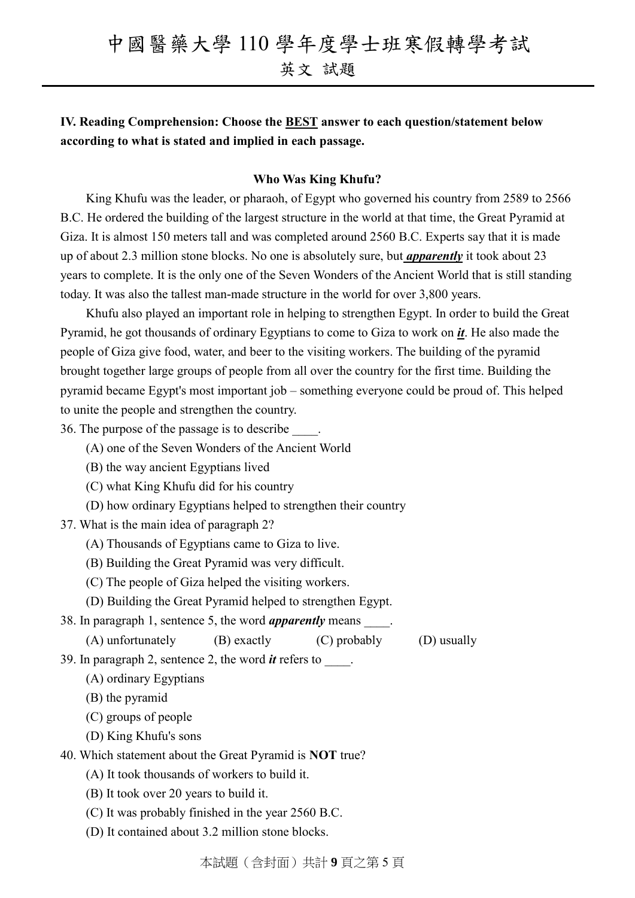**IV. Reading Comprehension: Choose the BEST answer to each question/statement below according to what is stated and implied in each passage.**

#### **Who Was King Khufu?**

King Khufu was the leader, or pharaoh, of Egypt who governed his country from 2589 to 2566 B.C. He ordered the building of the largest structure in the world at that time, the Great Pyramid at Giza. It is almost 150 meters tall and was completed around 2560 B.C. Experts say that it is made up of about 2.3 million stone blocks. No one is absolutely sure, but *apparently* it took about 23 years to complete. It is the only one of the Seven Wonders of the Ancient World that is still standing today. It was also the tallest man-made structure in the world for over 3,800 years.

Khufu also played an important role in helping to strengthen Egypt. In order to build the Great Pyramid, he got thousands of ordinary Egyptians to come to Giza to work on *it*. He also made the people of Giza give food, water, and beer to the visiting workers. The building of the pyramid brought together large groups of people from all over the country for the first time. Building the pyramid became Egypt's most important job – something everyone could be proud of. This helped to unite the people and strengthen the country.

36. The purpose of the passage is to describe \_\_\_\_.

- (A) one of the Seven Wonders of the Ancient World
- (B) the way ancient Egyptians lived
- (C) what King Khufu did for his country
- (D) how ordinary Egyptians helped to strengthen their country
- 37. What is the main idea of paragraph 2?
	- (A) Thousands of Egyptians came to Giza to live.
	- (B) Building the Great Pyramid was very difficult.
	- (C) The people of Giza helped the visiting workers.
	- (D) Building the Great Pyramid helped to strengthen Egypt.
- 38. In paragraph 1, sentence 5, the word *apparently* means \_\_\_\_.
	- (A) unfortunately (B) exactly (C) probably (D) usually

39. In paragraph 2, sentence 2, the word *it* refers to \_\_\_\_.

(A) ordinary Egyptians

(B) the pyramid

(C) groups of people

(D) King Khufu's sons

40. Which statement about the Great Pyramid is **NOT** true?

- (A) It took thousands of workers to build it.
- (B) It took over 20 years to build it.
- (C) It was probably finished in the year 2560 B.C.
- (D) It contained about 3.2 million stone blocks.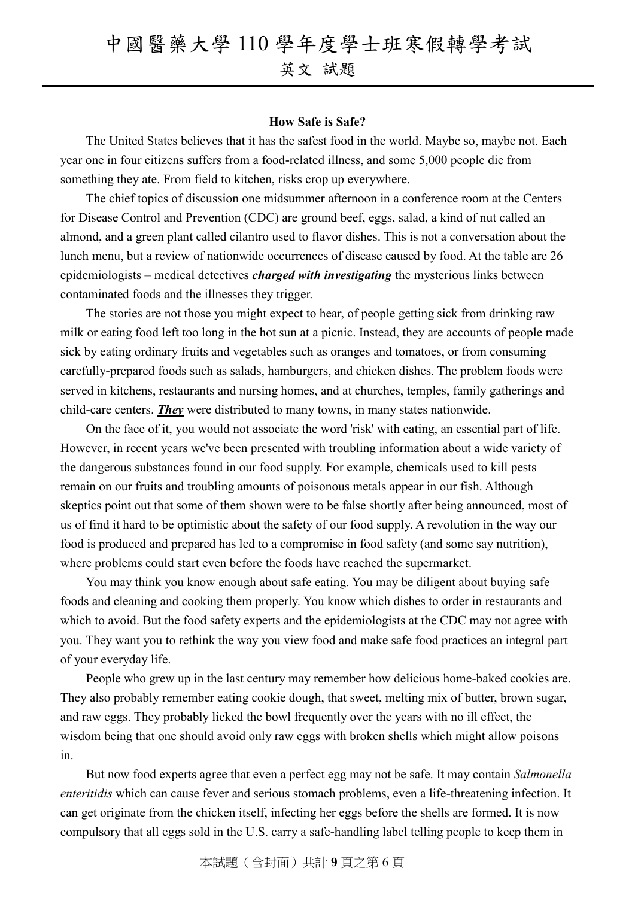#### **How Safe is Safe?**

The United States believes that it has the safest food in the world. Maybe so, maybe not. Each year one in four citizens suffers from a food-related illness, and some 5,000 people die from something they ate. From field to kitchen, risks crop up everywhere.

The chief topics of discussion one midsummer afternoon in a conference room at the Centers for Disease Control and Prevention (CDC) are ground beef, eggs, salad, a kind of nut called an almond, and a green plant called cilantro used to flavor dishes. This is not a conversation about the lunch menu, but a review of nationwide occurrences of disease caused by food. At the table are 26 epidemiologists – medical detectives *charged with investigating* the mysterious links between contaminated foods and the illnesses they trigger.

The stories are not those you might expect to hear, of people getting sick from drinking raw milk or eating food left too long in the hot sun at a picnic. Instead, they are accounts of people made sick by eating ordinary fruits and vegetables such as oranges and tomatoes, or from consuming carefully-prepared foods such as salads, hamburgers, and chicken dishes. The problem foods were served in kitchens, restaurants and nursing homes, and at churches, temples, family gatherings and child-care centers. *They* were distributed to many towns, in many states nationwide.

On the face of it, you would not associate the word 'risk' with eating, an essential part of life. However, in recent years we've been presented with troubling information about a wide variety of the dangerous substances found in our food supply. For example, chemicals used to kill pests remain on our fruits and troubling amounts of poisonous metals appear in our fish. Although skeptics point out that some of them shown were to be false shortly after being announced, most of us of find it hard to be optimistic about the safety of our food supply. A revolution in the way our food is produced and prepared has led to a compromise in food safety (and some say nutrition), where problems could start even before the foods have reached the supermarket.

You may think you know enough about safe eating. You may be diligent about buying safe foods and cleaning and cooking them properly. You know which dishes to order in restaurants and which to avoid. But the food safety experts and the epidemiologists at the CDC may not agree with you. They want you to rethink the way you view food and make safe food practices an integral part of your everyday life.

People who grew up in the last century may remember how delicious home-baked cookies are. They also probably remember eating cookie dough, that sweet, melting mix of butter, brown sugar, and raw eggs. They probably licked the bowl frequently over the years with no ill effect, the wisdom being that one should avoid only raw eggs with broken shells which might allow poisons in.

But now food experts agree that even a perfect egg may not be safe. It may contain *Salmonella enteritidis* which can cause fever and serious stomach problems, even a life-threatening infection. It can get originate from the chicken itself, infecting her eggs before the shells are formed. It is now compulsory that all eggs sold in the U.S. carry a safe-handling label telling people to keep them in

本試題(含封面)共計 **9** 頁之第 6 頁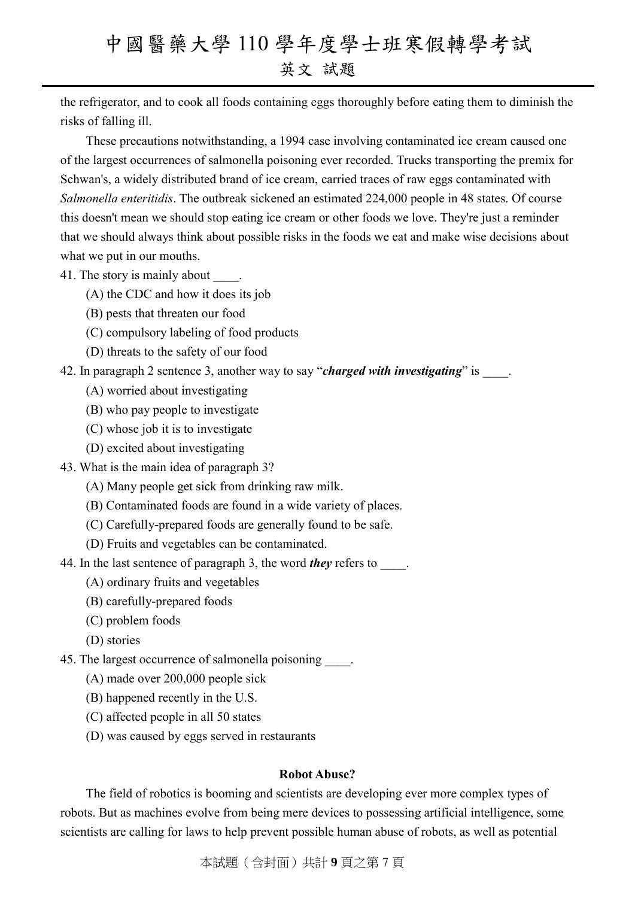the refrigerator, and to cook all foods containing eggs thoroughly before eating them to diminish the risks of falling ill.

These precautions notwithstanding, a 1994 case involving contaminated ice cream caused one of the largest occurrences of salmonella poisoning ever recorded. Trucks transporting the premix for Schwan's, a widely distributed brand of ice cream, carried traces of raw eggs contaminated with *Salmonella enteritidis*. The outbreak sickened an estimated 224,000 people in 48 states. Of course this doesn't mean we should stop eating ice cream or other foods we love. They're just a reminder that we should always think about possible risks in the foods we eat and make wise decisions about what we put in our mouths.

#### 41. The story is mainly about  $\qquad$ .

- (A) the CDC and how it does its job
- (B) pests that threaten our food
- (C) compulsory labeling of food products
- (D) threats to the safety of our food
- 42. In paragraph 2 sentence 3, another way to say "*charged with investigating*" is
	- (A) worried about investigating
	- (B) who pay people to investigate
	- (C) whose job it is to investigate
	- (D) excited about investigating
- 43. What is the main idea of paragraph 3?
	- (A) Many people get sick from drinking raw milk.
	- (B) Contaminated foods are found in a wide variety of places.
	- (C) Carefully-prepared foods are generally found to be safe.
	- (D) Fruits and vegetables can be contaminated.
- 44. In the last sentence of paragraph 3, the word *they* refers to
	- (A) ordinary fruits and vegetables
	- (B) carefully-prepared foods
	- (C) problem foods
	- (D) stories
- 45. The largest occurrence of salmonella poisoning  $\qquad$ .
	- (A) made over 200,000 people sick
	- (B) happened recently in the U.S.
	- (C) affected people in all 50 states
	- (D) was caused by eggs served in restaurants

#### **Robot Abuse?**

The field of robotics is booming and scientists are developing ever more complex types of robots. But as machines evolve from being mere devices to possessing artificial intelligence, some scientists are calling for laws to help prevent possible human abuse of robots, as well as potential

本試題(含封面)共計 **9** 頁之第 7 頁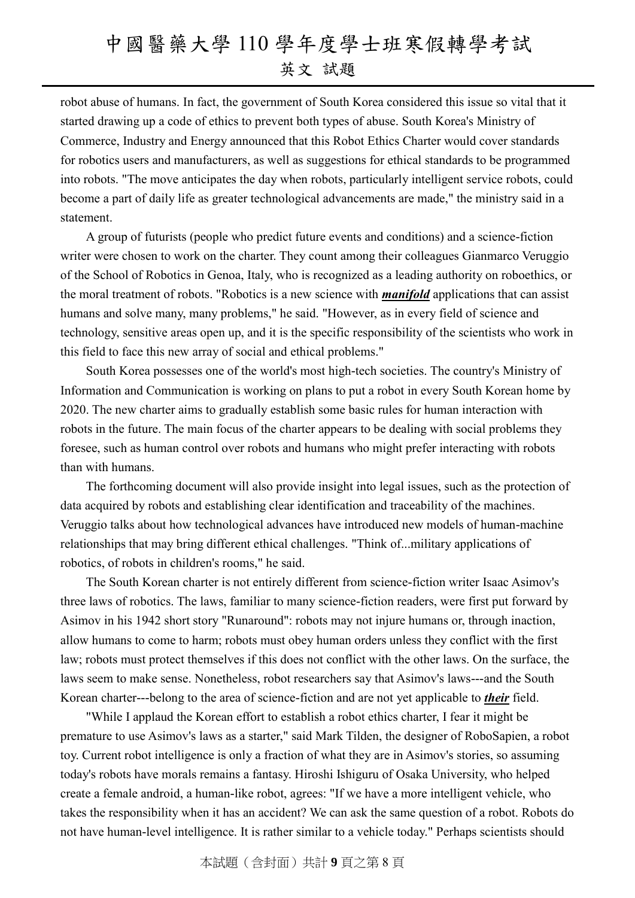robot abuse of humans. In fact, the government of South Korea considered this issue so vital that it started drawing up a code of ethics to prevent both types of abuse. South Korea's Ministry of Commerce, Industry and Energy announced that this Robot Ethics Charter would cover standards for robotics users and manufacturers, as well as suggestions for ethical standards to be programmed into robots. "The move anticipates the day when robots, particularly intelligent service robots, could become a part of daily life as greater technological advancements are made," the ministry said in a statement.

A group of futurists (people who predict future events and conditions) and a science-fiction writer were chosen to work on the charter. They count among their colleagues Gianmarco Veruggio of the School of Robotics in Genoa, Italy, who is recognized as a leading authority on roboethics, or the moral treatment of robots. "Robotics is a new science with *manifold* applications that can assist humans and solve many, many problems," he said. "However, as in every field of science and technology, sensitive areas open up, and it is the specific responsibility of the scientists who work in this field to face this new array of social and ethical problems."

South Korea possesses one of the world's most high-tech societies. The country's Ministry of Information and Communication is working on plans to put a robot in every South Korean home by 2020. The new charter aims to gradually establish some basic rules for human interaction with robots in the future. The main focus of the charter appears to be dealing with social problems they foresee, such as human control over robots and humans who might prefer interacting with robots than with humans.

The forthcoming document will also provide insight into legal issues, such as the protection of data acquired by robots and establishing clear identification and traceability of the machines. Veruggio talks about how technological advances have introduced new models of human-machine relationships that may bring different ethical challenges. "Think of...military applications of robotics, of robots in children's rooms," he said.

The South Korean charter is not entirely different from science-fiction writer Isaac Asimov's three laws of robotics. The laws, familiar to many science-fiction readers, were first put forward by Asimov in his 1942 short story "Runaround": robots may not injure humans or, through inaction, allow humans to come to harm; robots must obey human orders unless they conflict with the first law; robots must protect themselves if this does not conflict with the other laws. On the surface, the laws seem to make sense. Nonetheless, robot researchers say that Asimov's laws---and the South Korean charter---belong to the area of science-fiction and are not yet applicable to *their* field.

"While I applaud the Korean effort to establish a robot ethics charter, I fear it might be premature to use Asimov's laws as a starter," said Mark Tilden, the designer of RoboSapien, a robot toy. Current robot intelligence is only a fraction of what they are in Asimov's stories, so assuming today's robots have morals remains a fantasy. Hiroshi Ishiguru of Osaka University, who helped create a female android, a human-like robot, agrees: "If we have a more intelligent vehicle, who takes the responsibility when it has an accident? We can ask the same question of a robot. Robots do not have human-level intelligence. It is rather similar to a vehicle today." Perhaps scientists should

本試題(含封面)共計 **9** 頁之第 8 頁